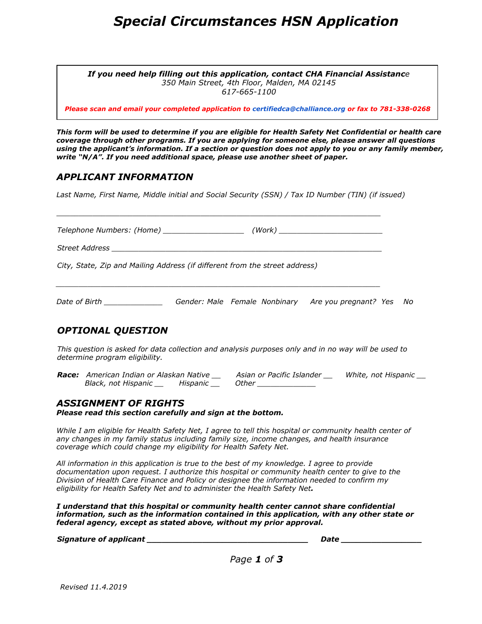### *Special Circumstances HSN Application*

*If you need help filling out this application, contact CHA Financial Assistance 350 Main Street, 4th Floor, Malden, MA 02145 617-665-1100*

*Please scan and email your completed application to certifiedca@challiance.org or fax to 781-338-0268*

This form will be used to determine if you are eligible for Health Safety Net Confidential or health care *coverage through other programs. If you are applying for someone else, please answer all questions* using the applicant's information. If a section or question does not apply to you or any family member, *write "N/A". If you need additional space, please use another sheet of paper.*

#### *APPLICANT INFORMATION*

*Last Name, First Name, Middle initial and Social Security (SSN) / Tax ID Number (TIN) (if issued)*

|                                                                                           | City, State, Zip and Mailing Address (if different from the street address)                                                                                                                                                                                                                   |  |  |  |
|-------------------------------------------------------------------------------------------|-----------------------------------------------------------------------------------------------------------------------------------------------------------------------------------------------------------------------------------------------------------------------------------------------|--|--|--|
|                                                                                           | Date of Birth ______________________Gender: Male Female Nonbinary Are you pregnant? Yes No                                                                                                                                                                                                    |  |  |  |
| <b>OPTIONAL QUESTION</b>                                                                  |                                                                                                                                                                                                                                                                                               |  |  |  |
|                                                                                           | This question is asked for data collection and analysis purposes only and in no way will be used to<br>determine program eligibility.                                                                                                                                                         |  |  |  |
|                                                                                           | Race: American Indian or Alaskan Native ___ Asian or Pacific Islander ___ White, not Hispanic __<br>Black, not Hispanic __ Hispanic __ Other ____________                                                                                                                                     |  |  |  |
| <b>ASSIGNMENT OF RIGHTS</b><br>Please read this section carefully and sign at the bottom. |                                                                                                                                                                                                                                                                                               |  |  |  |
|                                                                                           | While I am eligible for Health Safety Net, I agree to tell this hospital or community health center of<br>any changes in my family status including family size, income changes, and health insurance<br>coverage which could change my eligibility for Health Safety Net.                    |  |  |  |
|                                                                                           | All information in this application is true to the best of my knowledge. I agree to provide<br>documentation upon request. I authorize this hospital or community health center to give to the<br>Division of Health Care Finance and Policy or designee the information needed to confirm my |  |  |  |

*I understand that this hospital or community health center cannot share confidential information, such as the information contained in this application, with any other state or federal agency, except as stated above, without my prior approval.*

*eligibility for Health Safety Net and to administer the Health Safety Net.*

*Signature of applicant \_\_\_\_\_\_\_\_\_\_\_\_\_\_\_\_\_\_\_\_\_\_\_\_\_\_\_\_\_\_\_\_ Date \_\_\_\_\_\_\_\_\_\_\_\_\_\_\_\_*

*Page 1 of 3*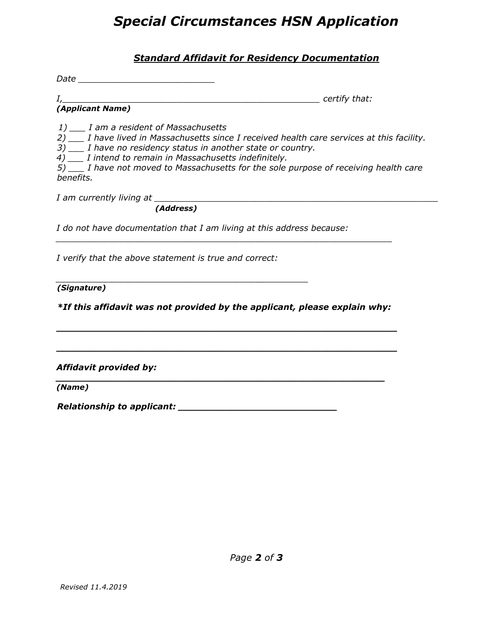# *Special Circumstances HSN Application*

### *Standard Affidavit for Residency Documentation*

*Date \_\_\_\_\_\_\_\_\_\_\_\_\_\_\_\_\_\_\_\_\_\_\_\_\_\_*

*I,\_\_\_\_\_\_\_\_\_\_\_\_\_\_\_\_\_\_\_\_\_\_\_\_\_\_\_\_\_\_\_\_\_\_\_\_\_\_\_\_\_\_\_\_\_\_\_\_\_ certify that:*

*(Applicant Name)*

*1) \_\_\_ I am a resident of Massachusetts*

*2) \_\_\_ I have lived in Massachusetts since I received health care services at this facility.*

*3) \_\_\_ I have no residency status in another state or country.*

*4) \_\_\_ I intend to remain in Massachusetts indefinitely.*

*5) \_\_\_ I have not moved to Massachusetts for the sole purpose of receiving health care benefits.*

*I am currently living at \_\_\_\_\_\_\_\_\_\_\_\_\_\_\_\_\_\_\_\_\_\_\_\_\_\_\_\_\_\_\_\_\_\_\_\_\_\_\_\_\_\_\_\_\_\_\_\_\_\_\_\_\_\_*

 *(Address)*

*I do not have documentation that I am living at this address because:*

*I verify that the above statement is true and correct:*

*\_\_\_\_\_\_\_\_\_\_\_\_\_\_\_\_\_\_\_\_\_\_\_\_\_\_\_\_\_\_\_\_\_\_\_\_\_\_\_\_\_\_\_\_\_\_\_\_*

*(Signature)*

*\*If this affidavit was not provided by the applicant, please explain why:*

*\_\_\_\_\_\_\_\_\_\_\_\_\_\_\_\_\_\_\_\_\_\_\_\_\_\_\_\_\_\_\_\_\_\_\_\_\_\_\_\_\_\_\_\_\_\_\_\_\_\_\_\_\_\_\_\_\_\_*

*\_\_\_\_\_\_\_\_\_\_\_\_\_\_\_\_\_\_\_\_\_\_\_\_\_\_\_\_\_\_\_\_\_\_\_\_\_\_\_\_\_\_\_\_\_\_\_\_\_\_\_\_\_\_\_\_\_\_*

*\_\_\_\_\_\_\_\_\_\_\_\_\_\_\_\_\_\_\_\_\_\_\_\_\_\_\_\_\_\_\_\_\_\_\_\_\_\_\_\_\_\_\_\_\_\_\_\_\_\_\_\_\_\_\_\_\_\_\_\_\_\_\_\_*

*Affidavit provided by:*

*\_\_\_\_\_\_\_\_\_\_\_\_\_\_\_\_\_\_\_\_\_\_\_\_\_\_\_\_\_\_\_\_\_\_\_\_\_\_\_\_\_\_\_\_\_\_\_\_\_\_\_\_\_\_\_\_ (Name)*

*Relationship to applicant: \_\_\_\_\_\_\_\_\_\_\_\_\_\_\_\_\_\_\_\_\_\_\_\_\_\_\_*